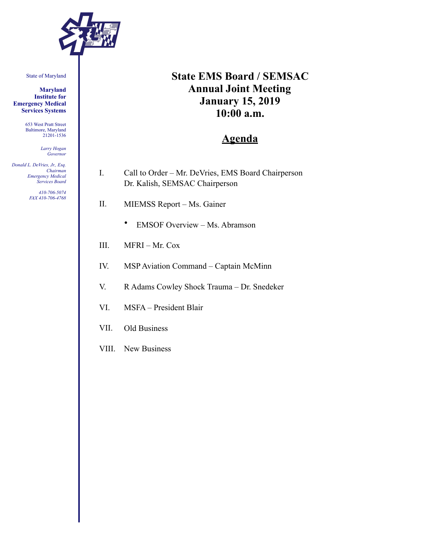

State of Maryland

**Maryland Institute for Emergency Medical Services Systems** 

> 653 West Pratt Street Baltimore, Maryland 21201-1536

> > *Larry Hogan Governor*

*Donald L. DeVries, Jr., Esq. Chairman Emergency Medical Services Board* 

> *410-706-5074 FAX 410-706-4768*

# **State EMS Board / SEMSAC Annual Joint Meeting January 15, 2019 10:00 a.m.**

## **Agenda**

- I. Call to Order Mr. DeVries, EMS Board Chairperson Dr. Kalish, SEMSAC Chairperson
- II. MIEMSS Report Ms. Gainer
	- EMSOF Overview Ms. Abramson
- III. MFRI Mr. Cox
- IV. MSP Aviation Command Captain McMinn
- V. R Adams Cowley Shock Trauma Dr. Snedeker
- VI. MSFA President Blair
- VII. Old Business
- VIII. New Business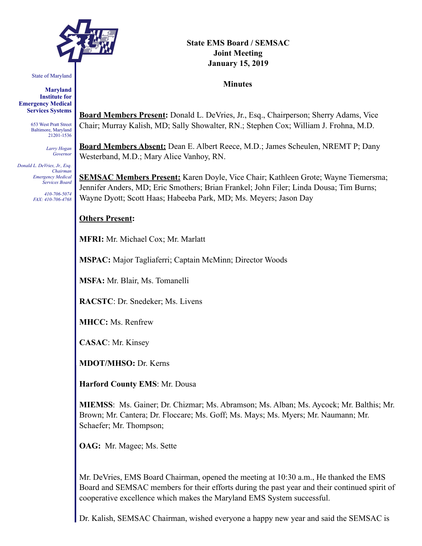

State of Maryland

**Maryland Institute for Emergency Medical Services Systems** 

> 653 West Pratt Street Baltimore, Maryland 21201-1536

> > *Larry Hogan Governor*

*Donald L. DeVries, Jr., Esq. Chairman Emergency Medical Services Board* 

> *410-706-5074 FAX: 410-706-4768*

#### **State EMS Board / SEMSAC Joint Meeting January 15, 2019**

**Minutes** 

**Board Members Present:** Donald L. DeVries, Jr., Esq., Chairperson; Sherry Adams, Vice Chair; Murray Kalish, MD; Sally Showalter, RN.; Stephen Cox; William J. Frohna, M.D.

**Board Members Absent:** Dean E. Albert Reece, M.D.; James Scheulen, NREMT P; Dany Westerband, M.D.; Mary Alice Vanhoy, RN.

**SEMSAC Members Present:** Karen Doyle, Vice Chair; Kathleen Grote; Wayne Tiemersma; Jennifer Anders, MD; Eric Smothers; Brian Frankel; John Filer; Linda Dousa; Tim Burns; Wayne Dyott; Scott Haas; Habeeba Park, MD; Ms. Meyers; Jason Day

#### **Others Present:**

**MFRI:** Mr. Michael Cox; Mr. Marlatt

**MSPAC:** Major Tagliaferri; Captain McMinn; Director Woods

**MSFA:** Mr. Blair, Ms. Tomanelli

**RACSTC**: Dr. Snedeker; Ms. Livens

**MHCC:** Ms. Renfrew

**CASAC**: Mr. Kinsey

**MDOT/MHSO:** Dr. Kerns

**Harford County EMS**: Mr. Dousa

**MIEMSS**: Ms. Gainer; Dr. Chizmar; Ms. Abramson; Ms. Alban; Ms. Aycock; Mr. Balthis; Mr. Brown; Mr. Cantera; Dr. Floccare; Ms. Goff; Ms. Mays; Ms. Myers; Mr. Naumann; Mr. Schaefer; Mr. Thompson;

**OAG:** Mr. Magee; Ms. Sette

Mr. DeVries, EMS Board Chairman, opened the meeting at 10:30 a.m., He thanked the EMS Board and SEMSAC members for their efforts during the past year and their continued spirit of cooperative excellence which makes the Maryland EMS System successful.

Dr. Kalish, SEMSAC Chairman, wished everyone a happy new year and said the SEMSAC is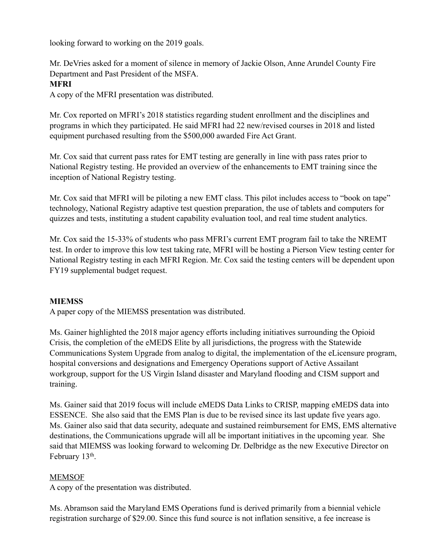looking forward to working on the 2019 goals.

Mr. DeVries asked for a moment of silence in memory of Jackie Olson, Anne Arundel County Fire Department and Past President of the MSFA.

## **MFRI**

A copy of the MFRI presentation was distributed.

Mr. Cox reported on MFRI's 2018 statistics regarding student enrollment and the disciplines and programs in which they participated. He said MFRI had 22 new/revised courses in 2018 and listed equipment purchased resulting from the \$500,000 awarded Fire Act Grant.

Mr. Cox said that current pass rates for EMT testing are generally in line with pass rates prior to National Registry testing. He provided an overview of the enhancements to EMT training since the inception of National Registry testing.

Mr. Cox said that MFRI will be piloting a new EMT class. This pilot includes access to "book on tape" technology, National Registry adaptive test question preparation, the use of tablets and computers for quizzes and tests, instituting a student capability evaluation tool, and real time student analytics.

Mr. Cox said the 15-33% of students who pass MFRI's current EMT program fail to take the NREMT test. In order to improve this low test taking rate, MFRI will be hosting a Pierson View testing center for National Registry testing in each MFRI Region. Mr. Cox said the testing centers will be dependent upon FY19 supplemental budget request.

## **MIEMSS**

A paper copy of the MIEMSS presentation was distributed.

Ms. Gainer highlighted the 2018 major agency efforts including initiatives surrounding the Opioid Crisis, the completion of the eMEDS Elite by all jurisdictions, the progress with the Statewide Communications System Upgrade from analog to digital, the implementation of the eLicensure program, hospital conversions and designations and Emergency Operations support of Active Assailant workgroup, support for the US Virgin Island disaster and Maryland flooding and CISM support and training.

Ms. Gainer said that 2019 focus will include eMEDS Data Links to CRISP, mapping eMEDS data into ESSENCE. She also said that the EMS Plan is due to be revised since its last update five years ago. Ms. Gainer also said that data security, adequate and sustained reimbursement for EMS, EMS alternative destinations, the Communications upgrade will all be important initiatives in the upcoming year. She said that MIEMSS was looking forward to welcoming Dr. Delbridge as the new Executive Director on February 13<sup>th</sup>.

## MEMSOF

A copy of the presentation was distributed.

Ms. Abramson said the Maryland EMS Operations fund is derived primarily from a biennial vehicle registration surcharge of \$29.00. Since this fund source is not inflation sensitive, a fee increase is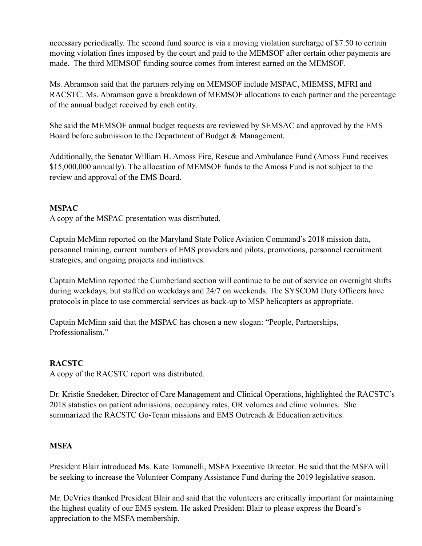necessary periodically. The second fund source is via a moving violation surcharge of \$7.50 to certain moving violation fines imposed by the court and paid to the MEMSOF after certain other payments are made. The third MEMSOF funding source comes from interest earned on the MEMSOF.

Ms. Abramson said that the partners relying on MEMSOF include MSPAC, MIEMSS, MFRI and RACSTC. Ms. Abramson gave a breakdown of MEMSOF allocations to each partner and the percentage of the annual budget received by each entity.

She said the MEMSOF annual budget requests are reviewed by SEMSAC and approved by the EMS Board before submission to the Department of Budget & Management.

Additionally, the Senator William H. Amoss Fire, Rescue and Ambulance Fund (Amoss Fund receives \$15,000,000 annually). The allocation of MEMSOF funds to the Amoss Fund is not subject to the review and approval of the EMS Board.

#### **MSPAC**

A copy of the MSPAC presentation was distributed.

Captain McMinn reported on the Maryland State Police Aviation Command's 2018 mission data, personnel training, current numbers of EMS providers and pilots, promotions, personnel recruitment strategies, and ongoing projects and initiatives.

Captain McMinn reported the Cumberland section will continue to be out of service on overnight shifts during weekdays, but staffed on weekdays and 24/7 on weekends. The SYSCOM Duty Officers have protocols in place to use commercial services as back-up to MSP helicopters as appropriate.

Captain McMinn said that the MSPAC has chosen a new slogan: "People, Partnerships, Professionalism."

## **RACSTC**

A copy of the RACSTC report was distributed.

Dr. Kristie Snedeker, Director of Care Management and Clinical Operations, highlighted the RACSTC's 2018 statistics on patient admissions, occupancy rates, OR volumes and clinic volumes. She summarized the RACSTC Go-Team missions and EMS Outreach & Education activities.

## **MSFA**

President Blair introduced Ms. Kate Tomanelli, MSFA Executive Director. He said that the MSFA will be seeking to increase the Volunteer Company Assistance Fund during the 2019 legislative season.

Mr. DeVries thanked President Blair and said that the volunteers are critically important for maintaining the highest quality of our EMS system. He asked President Blair to please express the Board's appreciation to the MSFA membership.